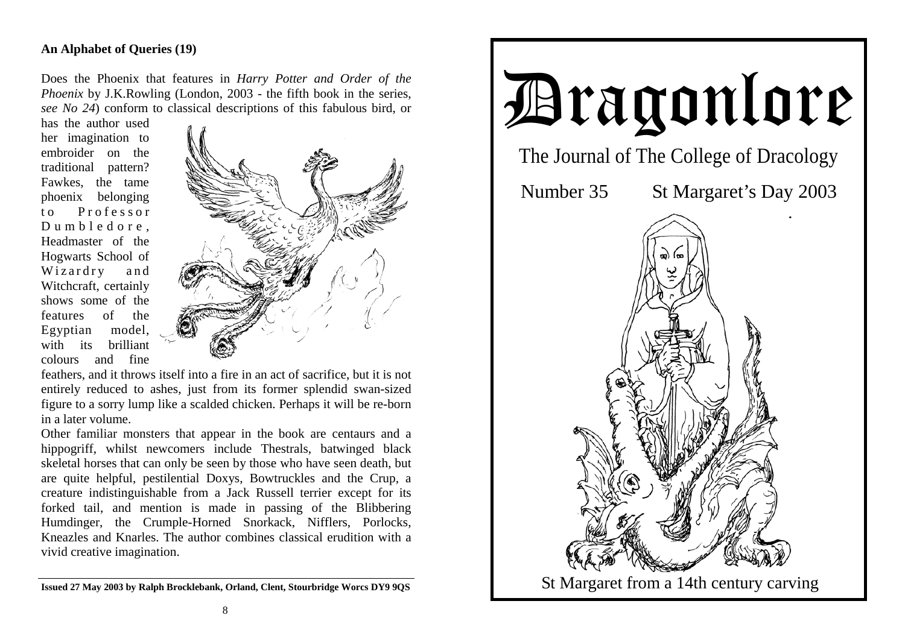# **An Alphabet of Queries (19)**

Does the Phoenix that features in *Harry Potter and Order of the Phoenix* by J.K.Rowling (London, 2003 - the fifth book in the series, *see No 24*) conform to classical descriptions of this fabulous bird, or

has the author used her imagination to embroider on the traditional pattern? Fawkes, the tame phoenix belonging to Professor Dum b l e d o r e, Headmaster of the Hogwarts School of Wizardry and Witchcraft, certainly shows some of the features of the Egyptian model, with its brilliant colours and fine



feathers, and it throws itself into a fire in an act of sacrifice, but it is not entirely reduced to ashes, just from its former splendid swan-sized figure to a sorry lump like a scalded chicken. Perhaps it will be re-born in a later volume.

Other familiar monsters that appear in the book are centaurs and a hippogriff, whilst newcomers include Thestrals, batwinged black skeletal horses that can only be seen by those who have seen death, but are quite helpful, pestilential Doxys, Bowtruckles and the Crup, a creature indistinguishable from a Jack Russell terrier except for its forked tail, and mention is made in passing of the Blibbering Humdinger, the Crumple-Horned Snorkack, Nifflers, Porlocks, Kneazles and Knarles. The author combines classical erudition with a vivid creative imagination.



**Issued 27 May 2003 by Ralph Brocklebank, Orland, Clent, Stourbridge Worcs DY9 9QS**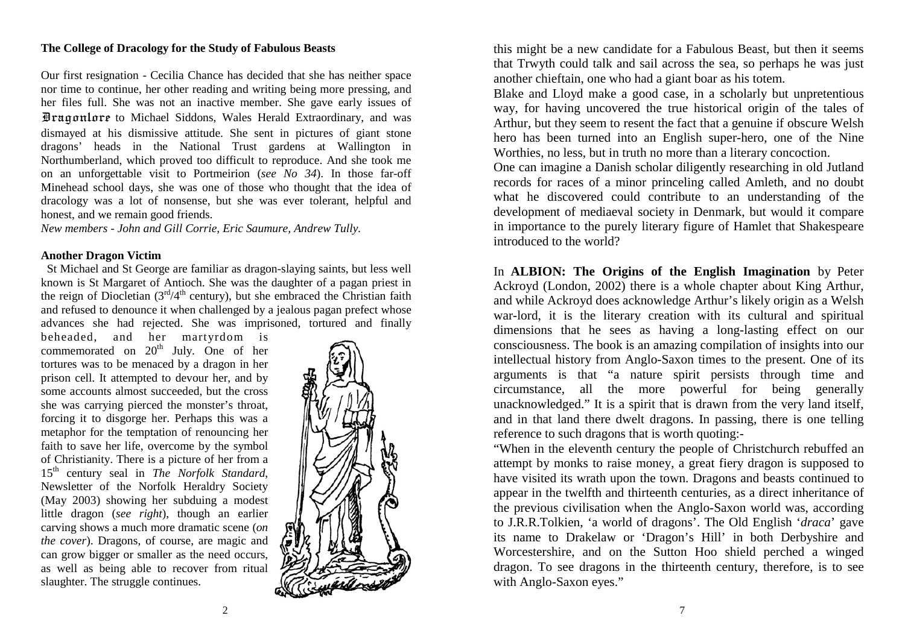### **The College of Dracology for the Study of Fabulous Beasts**

Our first resignation - Cecilia Chance has decided that she has neither space nor time to continue, her other reading and writing being more pressing, and her files full. She was not an inactive member. She gave early issues of Dragonlore to Michael Siddons, Wales Herald Extraordinary, and was dismayed at his dismissive attitude. She sent in pictures of giant stone dragons' heads in the National Trust gardens at Wallington in Northumberland, which proved too difficult to reproduce. And she took me on an unforgettable visit to Portmeirion (*see No 34*). In those far-off Minehead school days, she was one of those who thought that the idea of dracology was a lot of nonsense, but she was ever tolerant, helpful and honest, and we remain good friends.

*New members - John and Gill Corrie, Eric Saumure, Andrew Tully.* 

### **Another Dragon Victim**

 St Michael and St George are familiar as dragon-slaying saints, but less well known is St Margaret of Antioch. She was the daughter of a pagan priest in the reign of Diocletian  $(3<sup>rd</sup>/4<sup>th</sup>$  century), but she embraced the Christian faith and refused to denounce it when challenged by a jealous pagan prefect whose advances she had rejected. She was imprisoned, tortured and finally

beheaded, and her martyrdom is commemorated on  $20<sup>th</sup>$  July. One of her tortures was to be menaced by a dragon in her prison cell. It attempted to devour her, and by some accounts almost succeeded, but the cross she was carrying pierced the monster's throat, forcing it to disgorge her. Perhaps this was a metaphor for the temptation of renouncing her faith to save her life, overcome by the symbol of Christianity. There is a picture of her from a 15<sup>th</sup> century seal in *The Norfolk Standard*, Newsletter of the Norfolk Heraldry Society (May 2003) showing her subduing a modest little dragon (*see right*), though an earlier carving shows a much more dramatic scene (*on the cover*). Dragons, of course, are magic and can grow bigger or smaller as the need occurs, as well as being able to recover from ritual slaughter. The struggle continues.



this might be a new candidate for a Fabulous Beast, but then it seems that Trwyth could talk and sail across the sea, so perhaps he was just another chieftain, one who had a giant boar as his totem.

Blake and Lloyd make a good case, in a scholarly but unpretentious way, for having uncovered the true historical origin of the tales of Arthur, but they seem to resent the fact that a genuine if obscure Welsh hero has been turned into an English super-hero, one of the Nine Worthies, no less, but in truth no more than a literary concoction.

One can imagine a Danish scholar diligently researching in old Jutland records for races of a minor princeling called Amleth, and no doubt what he discovered could contribute to an understanding of the development of mediaeval society in Denmark, but would it compare in importance to the purely literary figure of Hamlet that Shakespeare introduced to the world?

In **ALBION: The Origins of the English Imagination** by Peter Ackroyd (London, 2002) there is a whole chapter about King Arthur, and while Ackroyd does acknowledge Arthur's likely origin as a Welsh war-lord, it is the literary creation with its cultural and spiritual dimensions that he sees as having a long-lasting effect on our consciousness. The book is an amazing compilation of insights into our intellectual history from Anglo-Saxon times to the present. One of its arguments is that "a nature spirit persists through time and circumstance, all the more powerful for being generally unacknowledged." It is a spirit that is drawn from the very land itself, and in that land there dwelt dragons. In passing, there is one telling reference to such dragons that is worth quoting:-

"When in the eleventh century the people of Christchurch rebuffed an attempt by monks to raise money, a great fiery dragon is supposed to have visited its wrath upon the town. Dragons and beasts continued to appear in the twelfth and thirteenth centuries, as a direct inheritance of the previous civilisation when the Anglo-Saxon world was, according to J.R.R.Tolkien, 'a world of dragons'. The Old English '*draca*' gave its name to Drakelaw or 'Dragon's Hill' in both Derbyshire and Worcestershire, and on the Sutton Hoo shield perched a winged dragon. To see dragons in the thirteenth century, therefore, is to see with Anglo-Saxon eyes."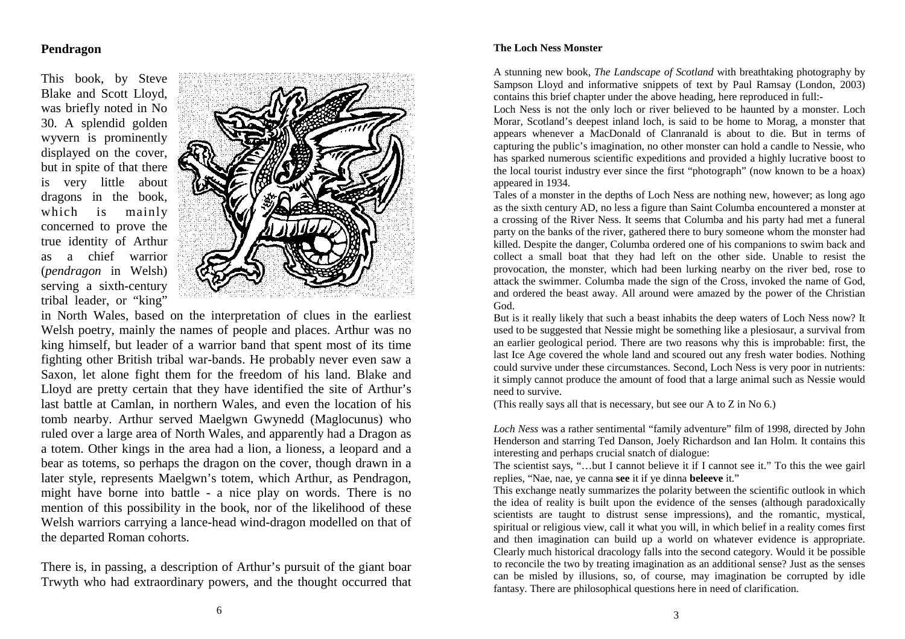## **Pendragon**

This book, by Steve Blake and Scott Lloyd, was briefly noted in No 30. A splendid golden wyvern is prominently displayed on the cover, but in spite of that there is very little about dragons in the book, which is mainly concerned to prove the true identity of Arthur as a chief warrior (*pendragon* in Welsh) serving a sixth-century tribal leader, or "king"



in North Wales, based on the interpretation of clues in the earliest Welsh poetry, mainly the names of people and places. Arthur was no king himself, but leader of a warrior band that spent most of its time fighting other British tribal war-bands. He probably never even saw a Saxon, let alone fight them for the freedom of his land. Blake and Lloyd are pretty certain that they have identified the site of Arthur's last battle at Camlan, in northern Wales, and even the location of his tomb nearby. Arthur served Maelgwn Gwynedd (Maglocunus) who ruled over a large area of North Wales, and apparently had a Dragon as a totem. Other kings in the area had a lion, a lioness, a leopard and a bear as totems, so perhaps the dragon on the cover, though drawn in a later style, represents Maelgwn's totem, which Arthur, as Pendragon, might have borne into battle - a nice play on words. There is no mention of this possibility in the book, nor of the likelihood of these Welsh warriors carrying a lance-head wind-dragon modelled on that of the departed Roman cohorts.

There is, in passing, a description of Arthur's pursuit of the giant boar Trwyth who had extraordinary powers, and the thought occurred that

### **The Loch Ness Monster**

A stunning new book, *The Landscape of Scotland* with breathtaking photography by Sampson Lloyd and informative snippets of text by Paul Ramsay (London, 2003) contains this brief chapter under the above heading, here reproduced in full:-

Loch Ness is not the only loch or river believed to be haunted by a monster. Loch Morar, Scotland's deepest inland loch, is said to be home to Morag, a monster that appears whenever a MacDonald of Clanranald is about to die. But in terms of capturing the public's imagination, no other monster can hold a candle to Nessie, who has sparked numerous scientific expeditions and provided a highly lucrative boost to the local tourist industry ever since the first "photograph" (now known to be a hoax) appeared in 1934.

Tales of a monster in the depths of Loch Ness are nothing new, however; as long ago as the sixth century AD, no less a figure than Saint Columba encountered a monster at a crossing of the River Ness. It seems that Columba and his party had met a funeral party on the banks of the river, gathered there to bury someone whom the monster had killed. Despite the danger, Columba ordered one of his companions to swim back and collect a small boat that they had left on the other side. Unable to resist the provocation, the monster, which had been lurking nearby on the river bed, rose to attack the swimmer. Columba made the sign of the Cross, invoked the name of God, and ordered the beast away. All around were amazed by the power of the Christian God.

But is it really likely that such a beast inhabits the deep waters of Loch Ness now? It used to be suggested that Nessie might be something like a plesiosaur, a survival from an earlier geological period. There are two reasons why this is improbable: first, the last Ice Age covered the whole land and scoured out any fresh water bodies. Nothing could survive under these circumstances. Second, Loch Ness is very poor in nutrients: it simply cannot produce the amount of food that a large animal such as Nessie would need to survive.

(This really says all that is necessary, but see our A to Z in No 6.)

*Loch Ness* was a rather sentimental "family adventure" film of 1998, directed by John Henderson and starring Ted Danson, Joely Richardson and Ian Holm. It contains this interesting and perhaps crucial snatch of dialogue:

The scientist says, "…but I cannot believe it if I cannot see it." To this the wee gairl replies, "Nae, nae, ye canna **see** it if ye dinna **beleeve** it."

This exchange neatly summarizes the polarity between the scientific outlook in which the idea of reality is built upon the evidence of the senses (although paradoxically scientists are taught to distrust sense impressions), and the romantic, mystical, spiritual or religious view, call it what you will, in which belief in a reality comes first and then imagination can build up a world on whatever evidence is appropriate. Clearly much historical dracology falls into the second category. Would it be possible to reconcile the two by treating imagination as an additional sense? Just as the senses can be misled by illusions, so, of course, may imagination be corrupted by idle fantasy. There are philosophical questions here in need of clarification.